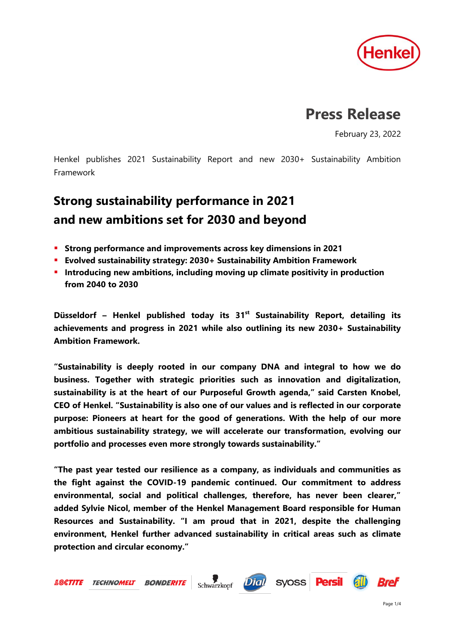

# **Press Release**

February 23, 2022

Henkel publishes 2021 Sustainability Report and new 2030+ Sustainability Ambition Framework

# **Strong sustainability performance in 2021 and new ambitions set for 2030 and beyond**

- **Strong performance and improvements across key dimensions in 2021**
- **Evolved sustainability strategy: 2030+ Sustainability Ambition Framework**
- **Introducing new ambitions, including moving up climate positivity in production from 2040 to 2030**

**Düsseldorf – Henkel published today its 31st Sustainability Report, detailing its achievements and progress in 2021 while also outlining its new 2030+ Sustainability Ambition Framework.**

**"Sustainability is deeply rooted in our company DNA and integral to how we do business. Together with strategic priorities such as innovation and digitalization, sustainability is at the heart of our Purposeful Growth agenda," said Carsten Knobel, CEO of Henkel. "Sustainability is also one of our values and is reflected in our corporate purpose: Pioneers at heart for the good of generations. With the help of our more ambitious sustainability strategy, we will accelerate our transformation, evolving our portfolio and processes even more strongly towards sustainability."**

**"The past year tested our resilience as a company, as individuals and communities as the fight against the COVID-19 pandemic continued. Our commitment to address environmental, social and political challenges, therefore, has never been clearer," added Sylvie Nicol, member of the Henkel Management Board responsible for Human Resources and Sustainability. "I am proud that in 2021, despite the challenging environment, Henkel further advanced sustainability in critical areas such as climate protection and circular economy."**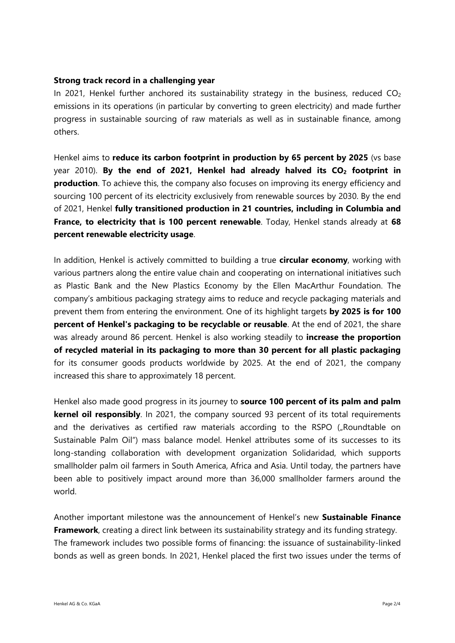### **Strong track record in a challenging year**

In 2021, Henkel further anchored its sustainability strategy in the business, reduced  $CO<sub>2</sub>$ emissions in its operations (in particular by converting to green electricity) and made further progress in sustainable sourcing of raw materials as well as in sustainable finance, among others.

Henkel aims to **reduce its carbon footprint in production by 65 percent by 2025** (vs base year 2010). **By the end of 2021, Henkel had already halved its CO<sup>2</sup> footprint in production**. To achieve this, the company also focuses on improving its energy efficiency and sourcing 100 percent of its electricity exclusively from renewable sources by 2030. By the end of 2021, Henkel **fully transitioned production in 21 countries, including in Columbia and France, to electricity that is 100 percent renewable**. Today, Henkel stands already at **68 percent renewable electricity usage**.

In addition, Henkel is actively committed to building a true **circular economy**, working with various partners along the entire value chain and cooperating on international initiatives such as Plastic Bank and the New Plastics Economy by the Ellen MacArthur Foundation. The company's ambitious packaging strategy aims to reduce and recycle packaging materials and prevent them from entering the environment. One of its highlight targets **by 2025 is for 100 percent of Henkel's packaging to be recyclable or reusable**. At the end of 2021, the share was already around 86 percent. Henkel is also working steadily to **increase the proportion of recycled material in its packaging to more than 30 percent for all plastic packaging** for its consumer goods products worldwide by 2025. At the end of 2021, the company increased this share to approximately 18 percent.

Henkel also made good progress in its journey to **source 100 percent of its palm and palm kernel oil responsibly**. In 2021, the company sourced 93 percent of its total requirements and the derivatives as certified raw materials according to the RSPO ("Roundtable on Sustainable Palm Oil") mass balance model. Henkel attributes some of its successes to its long-standing collaboration with development organization Solidaridad, which supports smallholder palm oil farmers in South America, Africa and Asia. Until today, the partners have been able to positively impact around more than 36,000 smallholder farmers around the world.

Another important milestone was the announcement of Henkel's new **Sustainable Finance Framework**, creating a direct link between its sustainability strategy and its funding strategy. The framework includes two possible forms of financing: the issuance of sustainability-linked bonds as well as green bonds. In 2021, Henkel placed the first two issues under the terms of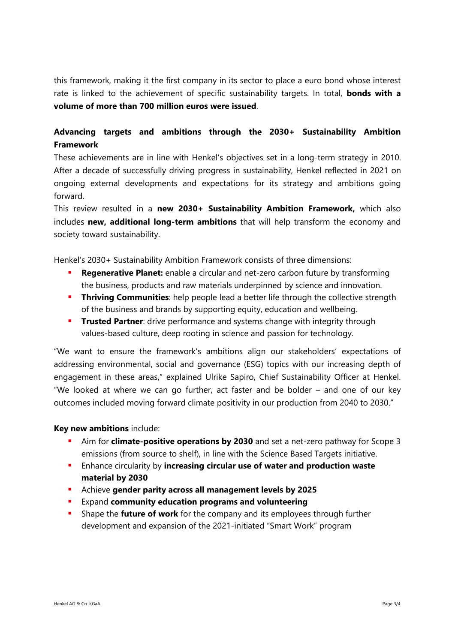this framework, making it the first company in its sector to place a euro bond whose interest rate is linked to the achievement of specific sustainability targets. In total, **bonds with a volume of more than 700 million euros were issued**.

## **Advancing targets and ambitions through the 2030+ Sustainability Ambition Framework**

These achievements are in line with Henkel's objectives set in a long-term strategy in 2010. After a decade of successfully driving progress in sustainability, Henkel reflected in 2021 on ongoing external developments and expectations for its strategy and ambitions going forward.

This review resulted in a **new 2030+ Sustainability Ambition Framework,** which also includes **new, additional long-term ambitions** that will help transform the economy and society toward sustainability.

Henkel's 2030+ Sustainability Ambition Framework consists of three dimensions:

- **Regenerative Planet:** enable a circular and net-zero carbon future by transforming the business, products and raw materials underpinned by science and innovation.
- **Thriving Communities**: help people lead a better life through the collective strength of the business and brands by supporting equity, education and wellbeing.
- **Trusted Partner**: drive performance and systems change with integrity through values-based culture, deep rooting in science and passion for technology.

"We want to ensure the framework's ambitions align our stakeholders' expectations of addressing environmental, social and governance (ESG) topics with our increasing depth of engagement in these areas," explained Ulrike Sapiro, Chief Sustainability Officer at Henkel. "We looked at where we can go further, act faster and be bolder – and one of our key outcomes included moving forward climate positivity in our production from 2040 to 2030."

## **Key new ambitions** include:

- Aim for **climate-positive operations by 2030** and set a net-zero pathway for Scope 3 emissions (from source to shelf), in line with the Science Based Targets initiative.
- Enhance circularity by **increasing circular use of water and production waste material by 2030**
- Achieve **gender parity across all management levels by 2025**
- Expand **community education programs and volunteering**
- Shape the **future of work** for the company and its employees through further development and expansion of the 2021-initiated "Smart Work" program